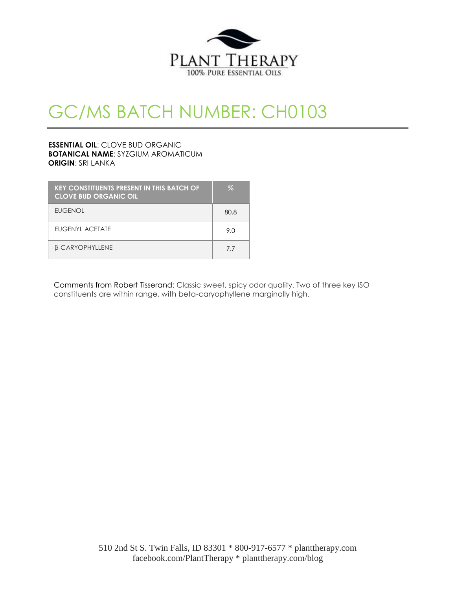

# GC/MS BATCH NUMBER: CH0103

## **ESSENTIAL OIL**: CLOVE BUD ORGANIC **BOTANICAL NAME**: SYZGIUM AROMATICUM **ORIGIN**: SRI LANKA

| <b>KEY CONSTITUENTS PRESENT IN THIS BATCH OF</b><br><b>CLOVE BUD ORGANIC OIL</b> | Z    |
|----------------------------------------------------------------------------------|------|
| <b>EUGENOL</b>                                                                   | 80.8 |
| FUGENYL ACETATE                                                                  | 9.0  |
| <b>B-CARYOPHYLLENE</b>                                                           | 77   |

Comments from Robert Tisserand: Classic sweet, spicy odor quality. Two of three key ISO constituents are within range, with beta-caryophyllene marginally high.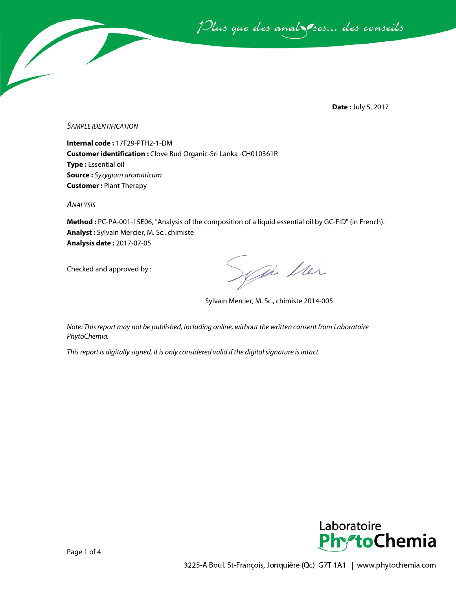Plus que des analsses... des conseils

**Date :** July 5, 2017

*SAMPLE IDENTIFICATION*

**Internal code :** 17F29-PTH2-1-DM **Customer identification :** Clove Bud Organic-Sri Lanka -CH010361R **Type :** Essential oil **Source :** *Syzygium aromaticum* **Customer :** Plant Therapy

*ANALYSIS*

**Method :** PC-PA-001-15E06, "Analysis of the composition of a liquid essential oil by GC-FID" (in French). **Analyst :** Sylvain Mercier, M. Sc., chimiste **Analysis date :** 2017-07-05

Checked and approved by :

We ther

Sylvain Mercier, M. Sc., chimiste 2014-005

*Note: This report may not be published, including online, without the written consent from Laboratoire PhytoChemia.*

*This report is digitally signed, it is only considered valid if the digital signature is intact.*

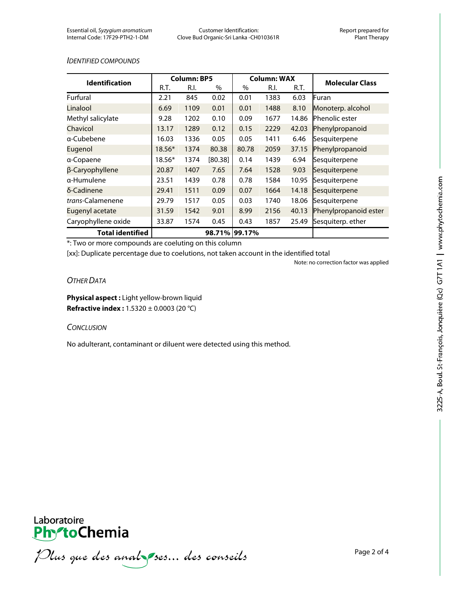#### *IDENTIFIED COMPOUNDS*

| <b>Identification</b>   | <b>Column: BP5</b> |      |               | <b>Column: WAX</b> |      |       |                        |
|-------------------------|--------------------|------|---------------|--------------------|------|-------|------------------------|
|                         | R.T.               | R.I. | $\%$          | $\%$               | R.I. | R.T.  | <b>Molecular Class</b> |
| Furfural                | 2.21               | 845  | 0.02          | 0.01               | 1383 | 6.03  | Furan                  |
| Linalool                | 6.69               | 1109 | 0.01          | 0.01               | 1488 | 8.10  | Monoterp. alcohol      |
| Methyl salicylate       | 9.28               | 1202 | 0.10          | 0.09               | 1677 | 14.86 | Phenolic ester         |
| Chavicol                | 13.17              | 1289 | 0.12          | 0.15               | 2229 | 42.03 | Phenylpropanoid        |
| a-Cubebene              | 16.03              | 1336 | 0.05          | 0.05               | 1411 | 6.46  | Sesquiterpene          |
| Eugenol                 | $18.56*$           | 1374 | 80.38         | 80.78              | 2059 | 37.15 | Phenylpropanoid        |
| a-Copaene               | $18.56*$           | 1374 | [80.38]       | 0.14               | 1439 | 6.94  | Sesquiterpene          |
| β-Caryophyllene         | 20.87              | 1407 | 7.65          | 7.64               | 1528 | 9.03  | Sesquiterpene          |
| a-Humulene              | 23.51              | 1439 | 0.78          | 0.78               | 1584 | 10.95 | Sesquiterpene          |
| δ-Cadinene              | 29.41              | 1511 | 0.09          | 0.07               | 1664 | 14.18 | Sesquiterpene          |
| trans-Calamenene        | 29.79              | 1517 | 0.05          | 0.03               | 1740 | 18.06 | Sesquiterpene          |
| Eugenyl acetate         | 31.59              | 1542 | 9.01          | 8.99               | 2156 | 40.13 | Phenylpropanoid ester  |
| Caryophyllene oxide     | 33.87              | 1574 | 0.45          | 0.43               | 1857 | 25.49 | Sesquiterp. ether      |
| <b>Total identified</b> |                    |      | 98.71% 99.17% |                    |      |       |                        |

\*: Two or more compounds are coeluting on this column

[xx]: Duplicate percentage due to coelutions, not taken account in the identified total

Note: no correction factor was applied

### *OTHER DATA*

**Physical aspect :** Light yellow-brown liquid **Refractive index :** 1.5320 ± 0.0003 (20 °C)

#### *CONCLUSION*

No adulterant, contaminant or diluent were detected using this method.



Plus que des analzes... des conseils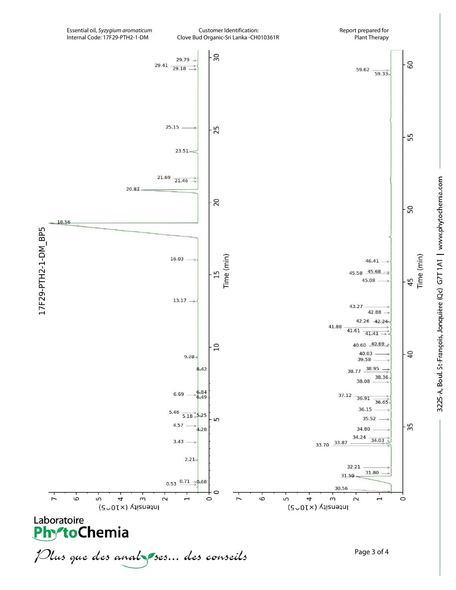

3225-A, Boul. St-François, Jonquière (Qc) G7T1A1 | www.phytochemia.com